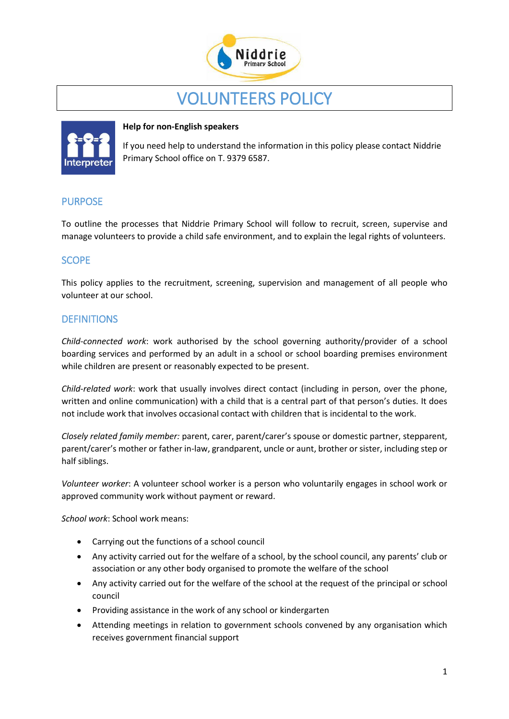

# VOLUNTEERS POLICY



#### **Help for non-English speakers**

If you need help to understand the information in this policy please contact Niddrie Primary School office on T. 9379 6587.

## PURPOSE

To outline the processes that Niddrie Primary School will follow to recruit, screen, supervise and manage volunteers to provide a child safe environment, and to explain the legal rights of volunteers.

# **SCOPE**

This policy applies to the recruitment, screening, supervision and management of all people who volunteer at our school.

## **DEFINITIONS**

*Child-connected work*: work authorised by the school governing authority/provider of a school boarding services and performed by an adult in a school or school boarding premises environment while children are present or reasonably expected to be present.

*Child-related work*: work that usually involves direct contact (including in person, over the phone, written and online communication) with a child that is a central part of that person's duties. It does not include work that involves occasional contact with children that is incidental to the work.

*Closely related family member:* parent, carer, parent/carer's spouse or domestic partner, stepparent, parent/carer's mother or father in-law, grandparent, uncle or aunt, brother or sister, including step or half siblings.

*Volunteer worker*: A volunteer school worker is a person who voluntarily engages in school work or approved community work without payment or reward.

*School work*: School work means:

- Carrying out the functions of a school council
- Any activity carried out for the welfare of a school, by the school council, any parents' club or association or any other body organised to promote the welfare of the school
- Any activity carried out for the welfare of the school at the request of the principal or school council
- Providing assistance in the work of any school or kindergarten
- Attending meetings in relation to government schools convened by any organisation which receives government financial support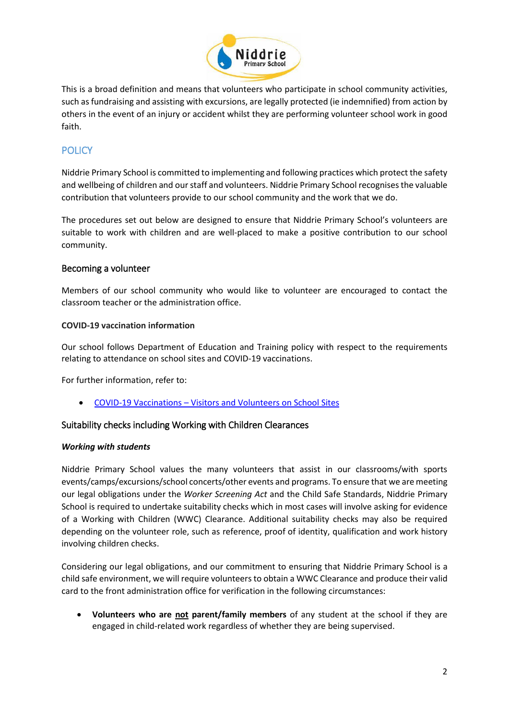

This is a broad definition and means that volunteers who participate in school community activities, such as fundraising and assisting with excursions, are legally protected (ie indemnified) from action by others in the event of an injury or accident whilst they are performing volunteer school work in good faith.

# **POLICY**

Niddrie Primary School is committed to implementing and following practices which protect the safety and wellbeing of children and our staff and volunteers. Niddrie Primary School recognises the valuable contribution that volunteers provide to our school community and the work that we do.

The procedures set out below are designed to ensure that Niddrie Primary School's volunteers are suitable to work with children and are well-placed to make a positive contribution to our school community.

## Becoming a volunteer

Members of our school community who would like to volunteer are encouraged to contact the classroom teacher or the administration office.

#### **COVID-19 vaccination information**

Our school follows Department of Education and Training policy with respect to the requirements relating to attendance on school sites and COVID-19 vaccinations.

For further information, refer to:

• COVID-19 Vaccinations – [Visitors and Volunteers on School Sites](https://www2.education.vic.gov.au/pal/covid-19-vaccinations-visitors-volunteers/policy)

## Suitability checks including Working with Children Clearances

#### *Working with students*

Niddrie Primary School values the many volunteers that assist in our classrooms/with sports events/camps/excursions/school concerts/other events and programs. To ensure that we are meeting our legal obligations under the *Worker Screening Act* and the Child Safe Standards, Niddrie Primary School is required to undertake suitability checks which in most cases will involve asking for evidence of a Working with Children (WWC) Clearance. Additional suitability checks may also be required depending on the volunteer role, such as reference, proof of identity, qualification and work history involving children checks.

Considering our legal obligations, and our commitment to ensuring that Niddrie Primary School is a child safe environment, we will require volunteers to obtain a WWC Clearance and produce their valid card to the front administration office for verification in the following circumstances:

• **Volunteers who are not parent/family members** of any student at the school if they are engaged in child-related work regardless of whether they are being supervised.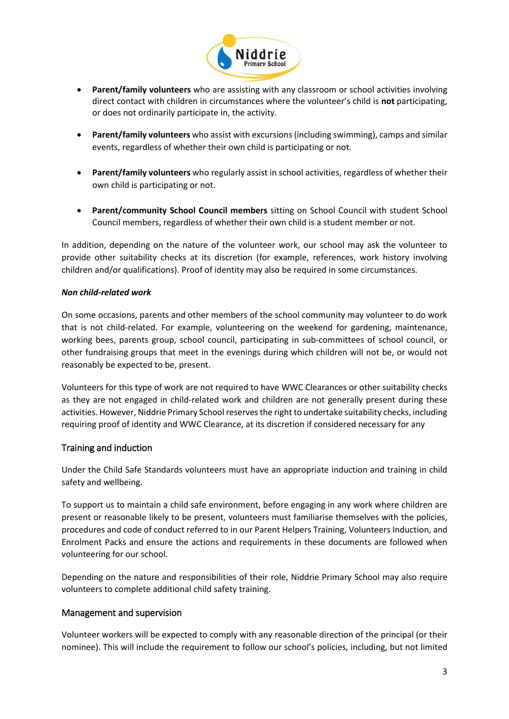

- **Parent/family volunteers** who are assisting with any classroom or school activities involving direct contact with children in circumstances where the volunteer's child is **not** participating, or does not ordinarily participate in, the activity.
- **Parent/family volunteers** who assist with excursions (including swimming), camps and similar events, regardless of whether their own child is participating or not.
- **Parent/family volunteers** who regularly assist in school activities, regardless of whether their own child is participating or not.
- **Parent/community School Council members** sitting on School Council with student School Council members, regardless of whether their own child is a student member or not.

In addition, depending on the nature of the volunteer work, our school may ask the volunteer to provide other suitability checks at its discretion (for example, references, work history involving children and/or qualifications). Proof of identity may also be required in some circumstances.

#### *Non child-related work*

On some occasions, parents and other members of the school community may volunteer to do work that is not child-related. For example, volunteering on the weekend for gardening, maintenance, working bees, parents group, school council, participating in sub-committees of school council, or other fundraising groups that meet in the evenings during which children will not be, or would not reasonably be expected to be, present.

Volunteers for this type of work are not required to have WWC Clearances or other suitability checks as they are not engaged in child-related work and children are not generally present during these activities. However, Niddrie Primary School reserves the right to undertake suitability checks, including requiring proof of identity and WWC Clearance, at its discretion if considered necessary for any

#### Training and induction

Under the Child Safe Standards volunteers must have an appropriate induction and training in child safety and wellbeing.

To support us to maintain a child safe environment, before engaging in any work where children are present or reasonable likely to be present, volunteers must familiarise themselves with the policies, procedures and code of conduct referred to in our Parent Helpers Training, Volunteers Induction, and Enrolment Packs and ensure the actions and requirements in these documents are followed when volunteering for our school.

Depending on the nature and responsibilities of their role, Niddrie Primary School may also require volunteers to complete additional child safety training.

#### Management and supervision

Volunteer workers will be expected to comply with any reasonable direction of the principal (or their nominee). This will include the requirement to follow our school's policies, including, but not limited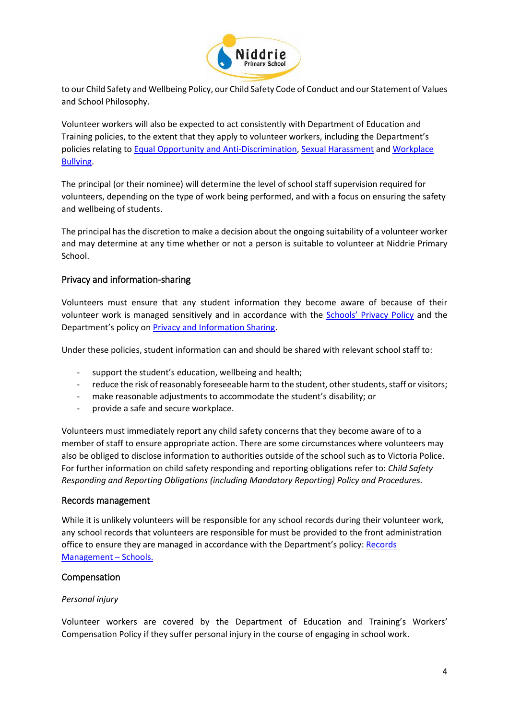

to our Child Safety and Wellbeing Policy, our Child Safety Code of Conduct and our Statement of Values and School Philosophy.

Volunteer workers will also be expected to act consistently with Department of Education and Training policies, to the extent that they apply to volunteer workers, including the Department's policies relating to [Equal Opportunity and Anti-Discrimination,](https://www2.education.vic.gov.au/pal/equal-opportunity/policy-and-guidelines) [Sexual Harassment](https://www2.education.vic.gov.au/pal/sexual-harassment/overview) and [Workplace](https://www2.education.vic.gov.au/pal/workplace-bullying/policy)  [Bullying.](https://www2.education.vic.gov.au/pal/workplace-bullying/policy)

The principal (or their nominee) will determine the level of school staff supervision required for volunteers, depending on the type of work being performed, and with a focus on ensuring the safety and wellbeing of students.

The principal has the discretion to make a decision about the ongoing suitability of a volunteer worker and may determine at any time whether or not a person is suitable to volunteer at Niddrie Primary School.

## Privacy and information-sharing

Volunteers must ensure that any student information they become aware of because of their volunteer work is managed sensitively and in accordance with the **Schools' [Privacy Policy](https://www.education.vic.gov.au/Pages/schoolsprivacypolicy.aspx)** and the Department's policy on [Privacy and Information Sharing.](https://www2.education.vic.gov.au/pal/privacy-information-sharing/policy)

Under these policies, student information can and should be shared with relevant school staff to:

- support the student's education, wellbeing and health;
- reduce the risk of reasonably foreseeable harm to the student, other students, staff or visitors;
- make reasonable adjustments to accommodate the student's disability; or
- provide a safe and secure workplace.

Volunteers must immediately report any child safety concerns that they become aware of to a member of staff to ensure appropriate action. There are some circumstances where volunteers may also be obliged to disclose information to authorities outside of the school such as to Victoria Police. For further information on child safety responding and reporting obligations refer to: *Child Safety Responding and Reporting Obligations (including Mandatory Reporting) Policy and Procedures.* 

#### Records management

While it is unlikely volunteers will be responsible for any school records during their volunteer work, any school records that volunteers are responsible for must be provided to the front administration office to ensure they are managed in accordance with the Department's policy: Records [Management](https://www2.education.vic.gov.au/pal/records-management/policy) – Schools.

#### Compensation

#### *Personal injury*

Volunteer workers are covered by the Department of Education and Training's Workers' Compensation Policy if they suffer personal injury in the course of engaging in school work.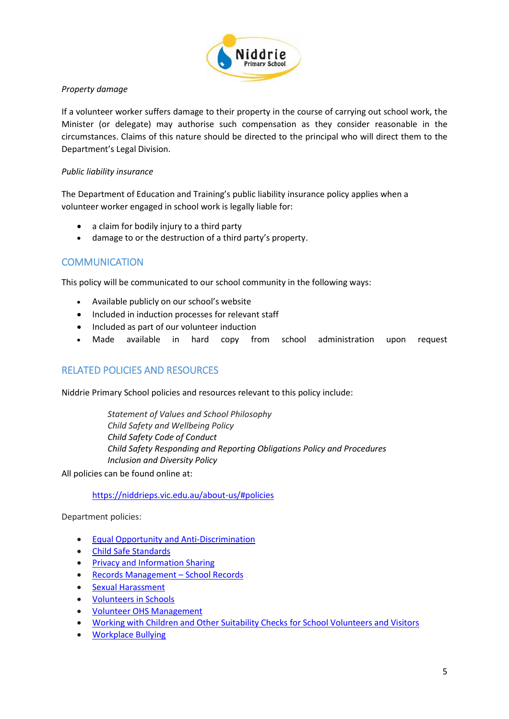

#### *Property damage*

If a volunteer worker suffers damage to their property in the course of carrying out school work, the Minister (or delegate) may authorise such compensation as they consider reasonable in the circumstances. Claims of this nature should be directed to the principal who will direct them to the Department's Legal Division.

#### *Public liability insurance*

The Department of Education and Training's public liability insurance policy applies when a volunteer worker engaged in school work is legally liable for:

- a claim for bodily injury to a third party
- damage to or the destruction of a third party's property.

# **COMMUNICATION**

This policy will be communicated to our school community in the following ways:

- Available publicly on our school's website
- Included in induction processes for relevant staff
- Included as part of our volunteer induction
- Made available in hard copy from school administration upon request

# RELATED POLICIES AND RESOURCES

Niddrie Primary School policies and resources relevant to this policy include:

*Statement of Values and School Philosophy Child Safety and Wellbeing Policy Child Safety Code of Conduct Child Safety Responding and Reporting Obligations Policy and Procedures Inclusion and Diversity Policy*

All policies can be found online at:

#### <https://niddrieps.vic.edu.au/about-us/#policies>

Department policies:

- [Equal Opportunity and Anti-Discrimination](https://www2.education.vic.gov.au/pal/equal-opportunity/policy-and-guidelines)
- [Child Safe Standards](https://www2.education.vic.gov.au/pal/child-safe-standards/policy)
- [Privacy and Information Sharing](https://www2.education.vic.gov.au/pal/privacy-information-sharing/policy)
- [Records Management](https://www2.education.vic.gov.au/pal/records-management/policy)  School Records
- [Sexual Harassment](https://www2.education.vic.gov.au/pal/sexual-harassment/policy-and-guidelines)
- [Volunteers in Schools](https://www2.education.vic.gov.au/pal/volunteers/policy)
- [Volunteer OHS Management](https://www2.education.vic.gov.au/pal/volunteer-ohs-management/policy)
- [Working with Children and Other Suitability Checks for School Volunteers and Visitors](https://www2.education.vic.gov.au/pal/suitability-checks/policy)
- [Workplace Bullying](https://www2.education.vic.gov.au/pal/workplace-bullying/policy)